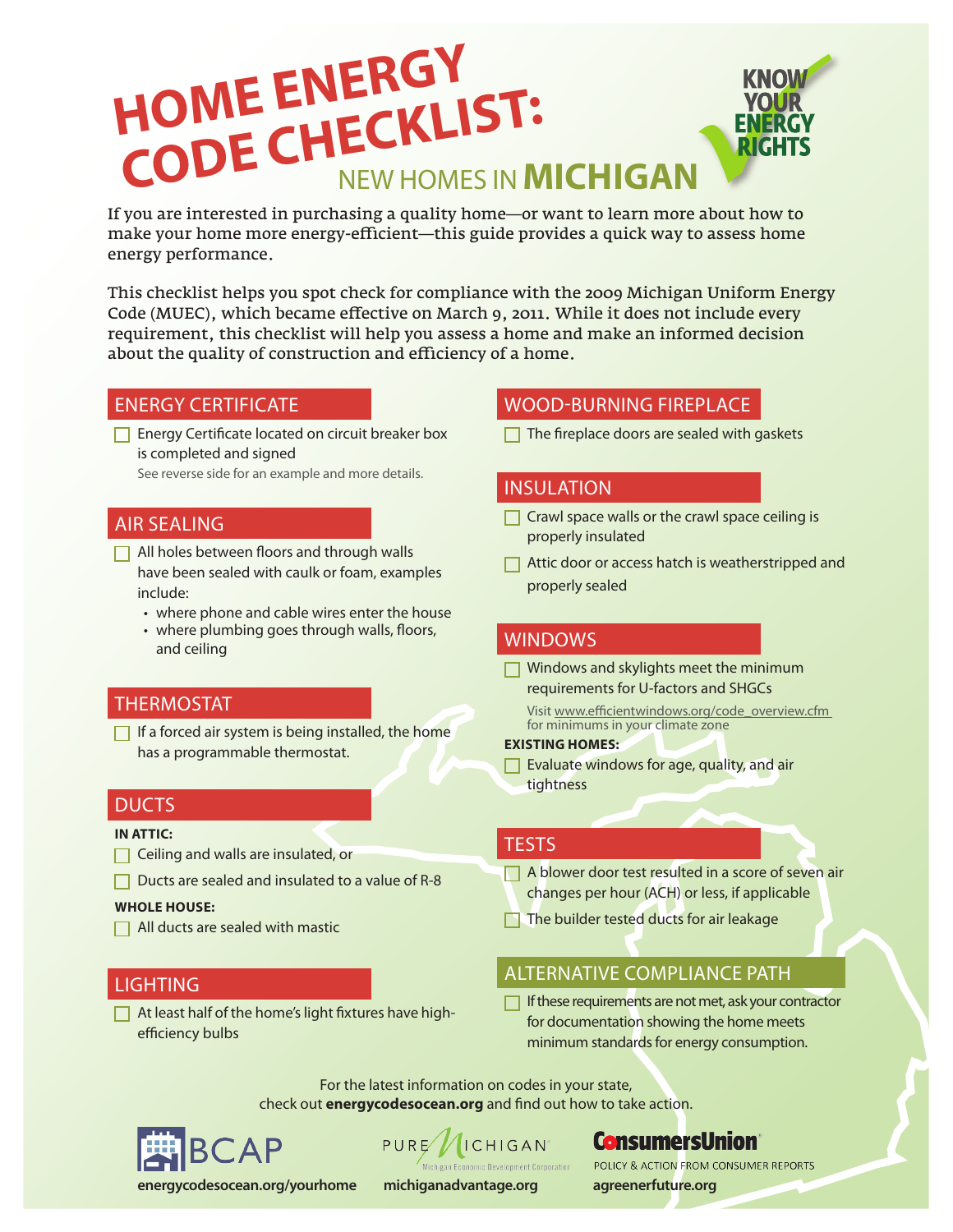# **HOME ENERGY CODE CHECKLIST:**<br>
CODE CHECKLIST:

If you are interested in purchasing a quality home—or want to learn more about how to make your home more energy-efficient—this guide provides a quick way to assess home energy performance.

This checklist helps you spot check for compliance with the 2009 Michigan Uniform Energy Code (MUEC), which became effective on March 9, 2011. While it does not include every requirement, this checklist will help you assess a home and make an informed decision about the quality of construction and efficiency of a home.

**Energy Certificate located on circuit breaker box** is completed and signed

See reverse side for an example and more details.

### AIR SEALING

- $\Box$  All holes between floors and through walls have been sealed with caulk or foam, examples include:
	- where phone and cable wires enter the house
	- where plumbing goes through walls, floors, and ceiling

#### THERMOSTAT

 $\Box$  If a forced air system is being installed, the home has a programmable thermostat.

#### DUCTS

#### **IN ATTIC:**

- **Ceiling and walls are insulated, or**
- $\Box$  Ducts are sealed and insulated to a value of R-8

#### **WHOLE HOUSE:**

 $\Box$  All ducts are sealed with mastic

#### **LIGHTING**

 $\Box$  At least half of the home's light fixtures have highefficiency bulbs

# ENERGY CERTIFICATE WOOD-BURNING FIREPLACE

 $\Box$  The fireplace doors are sealed with gaskets

#### INSULATION

- $\Box$  Crawl space walls or the crawl space ceiling is properly insulated
- $\Box$  Attic door or access hatch is weatherstripped and properly sealed

## WINDOWS

- $\Box$  Windows and skylights meet the minimum requirements for U-factors and SHGCs
	- Visit www.efficientwindows.org/code\_overview.cfm for minimums in your climate zone

#### **EXISTING HOMES:**

 $\Box$  Evaluate windows for age, quality, and air tightness

#### **TESTS**

- A blower door test resulted in a score of seven air changes per hour (ACH) or less, if applicable
- The builder tested ducts for air leakage

# ALTERNATIVE COMPLIANCE PATH

If these requirements are not met, ask your contractor for documentation showing the home meets minimum standards for energy consumption.

For the latest information on codes in your state, check out **energycodesocean.org** and find out how to take action.



PURE *AICHIGAN* 

**ConsumersUnion** 

**energycodesocean.org/yourhome michiganadvantage.org agreenerfuture.org**

POLICY & ACTION FROM CONSUMER REPORTS